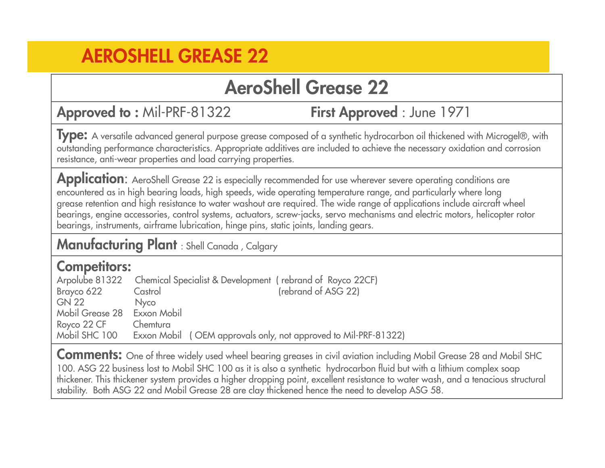### **AeroShell Grease 22**

**Approved to : Mil-PRF-81322** 

First Approved : June 1971

**Type:** A versatile advanced general purpose grease composed of a synthetic hydrocarbon oil thickened with Microgel®, with outstanding performance characteristics. Appropriate additives are included to achieve the necessary oxidation and corrosion resistance, anti-wear properties and load carrying properties.

Application: AeroShell Grease 22 is especially recommended for use wherever severe operating conditions are encountered as in high bearing loads, high speeds, wide operating temperature range, and particularly where long grease retention and high resistance to water washout are required. The wide range of applications include aircraft wheel bearings, engine accessories, control systems, actuators, screw-jacks, servo mechanisms and electric motors, helicopter rotor bearings, instruments, airframe lubrication, hinge pins, static joints, landing gears.

**Manufacturing Plant** : Shell Canada , Calgary

## **Competitors:**

Chemical Specialist & Development ( rebrand of Royco 22CF) Brayco 622 Castrol Castrol (rebrand of ASG 22) GN 22 Nyco Mobil Grease 28 Exxon MobilRoyco 22 CF Chemtura<br>Mobil SHC 100 Fxxon Mo Mobil SHC 100 Exxon Mobil ( OEM approvals only, not approved to Mil-PRF-81322)

**Comments:** One of three widely used wheel bearing greases in civil aviation including Mobil Grease 28 and Mobil SHC 100. ASG 22 business lost to Mobil SHC 100 as it is also a synthetic hydrocarbon fluid but with a lithium complex soap thickener. This thickener system provides a higher dropping point, excellent resistance to water wash, and a tenacious structural stability. Both ASG 22 and Mobil Grease 28 are clay thickened hence the need to develop ASG 58.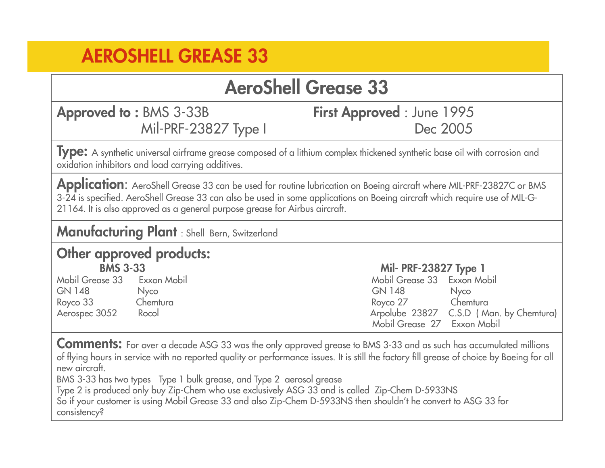### **AeroShell Grease 33**

 **Approved to :** BMS 3-33B **First Approved** : June 1995Mil-PRF-23827 Type I

# Dec 2005

**Type:** <sup>A</sup> synthetic universal airframe grease composed of a lithium complex thickened synthetic base oil with corrosion and oxidation inhibitors and load carrying additives.

**Application**: AeroShell Grease 33 can be used for routine lubrication on Boeing aircraft where MIL-PRF-23827C or BMS 3-24 is specified. AeroShell Grease 33 can also be used in some applications on Boeing aircraft which require use of MIL-G-21164. It is also approved as a general purpose grease for Airbus aircraft.

**Manufacturing Plant** : Shell Bern, Switzerland

#### **Other approved products: BMS 3-33 Mil- PRF-23827 Type 1**

 Mobil Grease 33 Exxon Mobil Mobil Grease 33 Exxon Mobil GN 148 Nyco GN 148 NycoChemtura Royco 33 Chemtura Royco 27 Chemtura Aerospec 3052 Rocol Arpolube 23827 C.S.D ( Man. by Chemtura) Mobil Grease 27 Exxon Mobil

**Comments:** For over a decade ASG 33 was the only approved grease to BMS 3-33 and as such has accumulated millions of flying hours in service with no reported quality or performance issues. It is still the factory fill grease of choice by Boeing for all new aircraft.

BMS 3-33 has two types Type 1 bulk grease, and Type 2 aerosol grease

Type 2 is produced only buy Zip-Chem who use exclusively ASG 33 and is called Zip-Chem D-5933NS

 So if your customer is using Mobil Grease 33 and also Zip-Chem D-5933NS then shouldn't he convert to ASG 33 for consistency?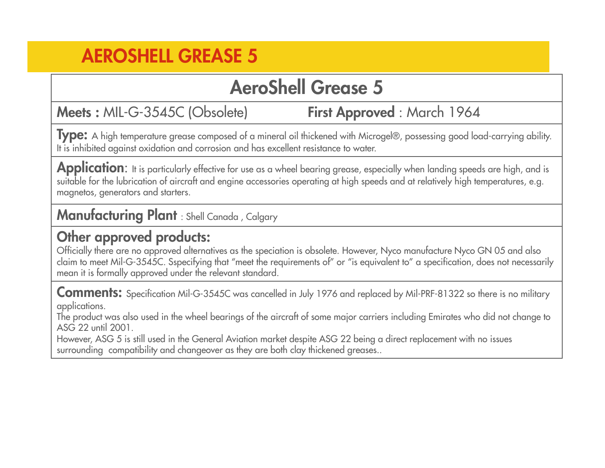### **AeroShell Grease 5**

**Meets : MIL-G-3545C (Obsolete)** 

First Approved: March 1964

**Type:** A high temperature grease composed of a mineral oil thickened with Microgel®, possessing good load-carrying ability. It is inhibited against oxidation and corrosion and has excellent resistance to water.

Application: It is particularly effective for use as a wheel bearing grease, especially when landing speeds are high, and is suitable for the lubrication of aircraft and engine accessories operating at high speeds and at relatively high temperatures, e.g. magnetos, generators and starters.

**Manufacturing Plant** : Shell Canada , Calgary

#### **Other approved products:**

 Officially there are no approved alternatives as the speciation is obsolete. However, Nyco manufacture Nyco GN 05 and also claim to meet Mil-G-3545C. Sspecifying that "meet the requirements of" or "is equivalent to" a specification, does not necessarily mean it is formally approved under the relevant standard.

**Comments:** Specification Mil-G-3545C was cancelled in July 1976 and replaced by Mil-PRF-81322 so there is no military applications.

 The product was also used in the wheel bearings of the aircraft of some major carriers including Emirates who did not change to ASG 22 until 2001.

 However, ASG 5 is still used in the General Aviation market despite ASG 22 being a direct replacement with no issues surrounding compatibility and changeover as they are both clay thickened greases..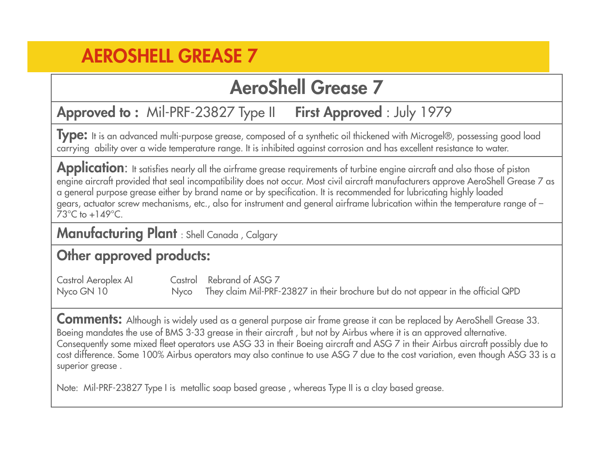### **AeroShell Grease 7**

#### Mil-PRF-23827 Type II **First Approved** : July 1979 **Approved to : Mil-PRF-23827 Type II**

**Type:** It is an advanced multi-purpose grease, composed of a synthetic oil thickened with Microgel®, possessing good load carrying ability over a wide temperature range. It is inhibited against corrosion and has excellent resistance to water.

Application: It satisfies nearly all the airframe grease requirements of turbine engine aircraft and also those of piston engine aircraft provided that seal incompatibility does not occur. Most civil aircraft manufacturers approve AeroShell Grease 7 as a general purpose grease either by brand name or by specification. It is recommended for lubricating highly loaded gears, actuator screw mechanisms, etc., also for instrument and general airframe lubrication within the temperature range of – $73^{\circ}$ C to  $+149^{\circ}$ C.

**Manufacturing Plant** : Shell Canada , Calgary

#### **Other approved products:**

Castrol Aeroplex AI Castrol Rebrand of ASG 7Nyco GN 10 Nyco They claim Mil-PRF-23827 in their brochure but do not appear in the official QPD Nyco

**Comments:** Although is widely used as a general purpose air frame grease it can be replaced by AeroShell Grease 33. Boeing mandates the use of BMS 3-33 grease in their aircraft , but not by Airbus where it is an approved alternative. Consequently some mixed fleet operators use ASG 33 in their Boeing aircraft and ASG 7 in their Airbus aircraft possibly due to cost difference. Some 100% Airbus operators may also continue to use ASG 7 due to the cost variation, even though ASG 33 is asuperior grease.

Note: Mil-PRF-23827 Type I is metallic soap based grease , whereas Type II is a clay based grease.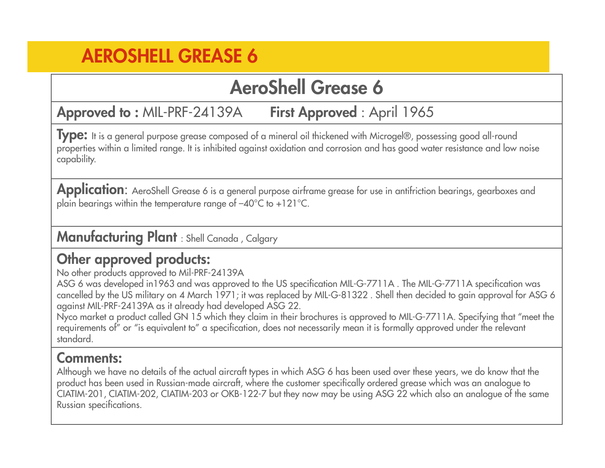### **AeroShell Grease 6**

 MIL-PRF-24139A **First Approved** : April 1965**Approved to :**

**Type:** It is a general purpose grease composed of a mineral oil thickened with Microgel®, possessing good all-round properties within a limited range. It is inhibited against oxidation and corrosion and has good water resistance and low noise capability.

Application: AeroShell Grease 6 is a general purpose airframe grease for use in antifriction bearings, gearboxes and plain bearings within the temperature range of –40°C to +121°C.

**Manufacturing Plant** : Shell Canada , Calgary

#### **Other approved products:**

No other products approved to Mil-PRF-24139A

 ASG 6 was developed in1963 and was approved to the US specification MIL-G-7711A . The MIL-G-7711A specification was cancelled by the US military on 4 March 1971; it was replaced by MIL-G-81322 . Shell then decided to gain approval for ASG 6 against MIL-PRF-24139A as it already had developed ASG 22.

 Nyco market a product called GN 15 which they claim in their brochures is approved to MIL-G-7711A. Specifying that "meet the requirements of" or "is equivalent to" a specification, does not necessarily mean it is formally approved under the relevant standard.

#### **Comments:**

 Although we have no details of the actual aircraft types in which ASG 6 has been used over these years, we do know that the product has been used in Russian-made aircraft, where the customer specifically ordered grease which was an analogue to CIATIM-201, CIATIM-202, CIATIM-203 or OKB-122-7 but they now may be using ASG 22 which also an analogue of the same Russian specifications.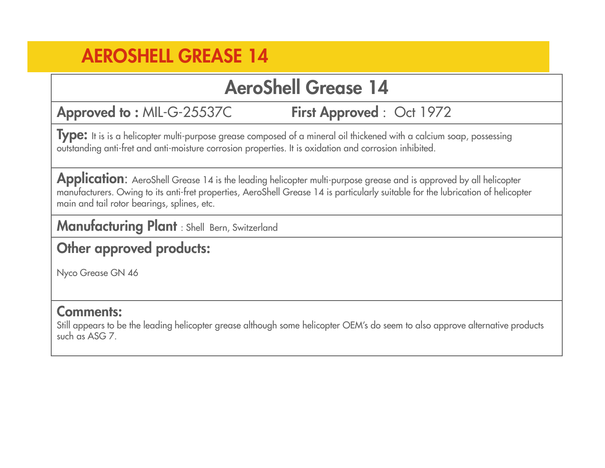### **AeroShell Grease 14**

Approved to : MIL-G-25537C

MIL-G-25537C **First Approved** : Oct 1972

**Type:** It is is a helicopter multi-purpose grease composed of a mineral oil thickened with a calcium soap, possessing outstanding anti-fret and anti-moisture corrosion properties. It is oxidation and corrosion inhibited.

Application: AeroShell Grease 14 is the leading helicopter multi-purpose grease and is approved by all helicopter manufacturers. Owing to its anti-fret properties, AeroShell Grease 14 is particularly suitable for the lubrication of helicoptermain and tail rotor bearings, splines, etc.

**Manufacturing Plant** : Shell Bern, Switzerland

#### **Other approved products:**

Nyco Grease GN 46

#### **Comments:**

 Still appears to be the leading helicopter grease although some helicopter OEM's do seem to also approve alternative productssuch as ASG 7.